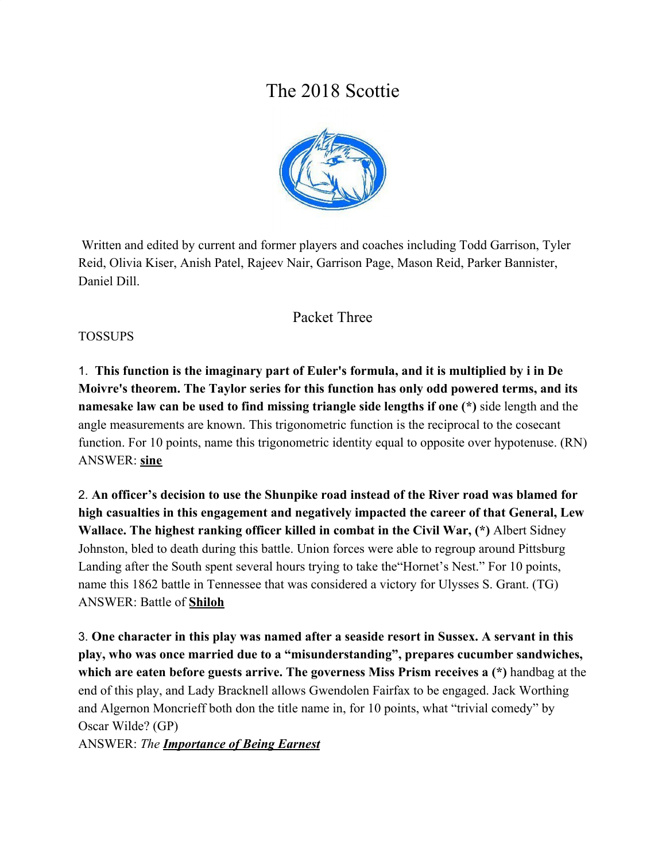# The 2018 Scottie



 Written and edited by current and former players and coaches including Todd Garrison, Tyler Reid, Olivia Kiser, Anish Patel, Rajeev Nair, Garrison Page, Mason Reid, Parker Bannister, Daniel Dill.

# Packet Three

#### TOSSUPS

1. **This function is the imaginary part of Euler's formula, and it is multiplied by i in De Moivre's theorem. The Taylor series for this function has only odd powered terms, and its namesake law can be used to find missing triangle side lengths if one (\*)** side length and the angle measurements are known. This trigonometric function is the reciprocal to the cosecant function. For 10 points, name this trigonometric identity equal to opposite over hypotenuse. (RN) ANSWER: **sine**

2. **An officer's decision to use the Shunpike road instead of the River road was blamed for high casualties in this engagement and negatively impacted the career of that General, Lew Wallace. The highest ranking officer killed in combat in the Civil War, (\*)** Albert Sidney Johnston, bled to death during this battle. Union forces were able to regroup around Pittsburg Landing after the South spent several hours trying to take the"Hornet's Nest." For 10 points, name this 1862 battle in Tennessee that was considered a victory for Ulysses S. Grant. (TG) ANSWER: Battle of **Shiloh**

3. **One character in this play was named after a seaside resort in Sussex. A servant in this play, who was once married due to a "misunderstanding", prepares cucumber sandwiches, which are eaten before guests arrive. The governess Miss Prism receives a (\*)** handbag at the end of this play, and Lady Bracknell allows Gwendolen Fairfax to be engaged. Jack Worthing and Algernon Moncrieff both don the title name in, for 10 points, what "trivial comedy" by Oscar Wilde? (GP)

ANSWER: *The Importance of Being Earnest*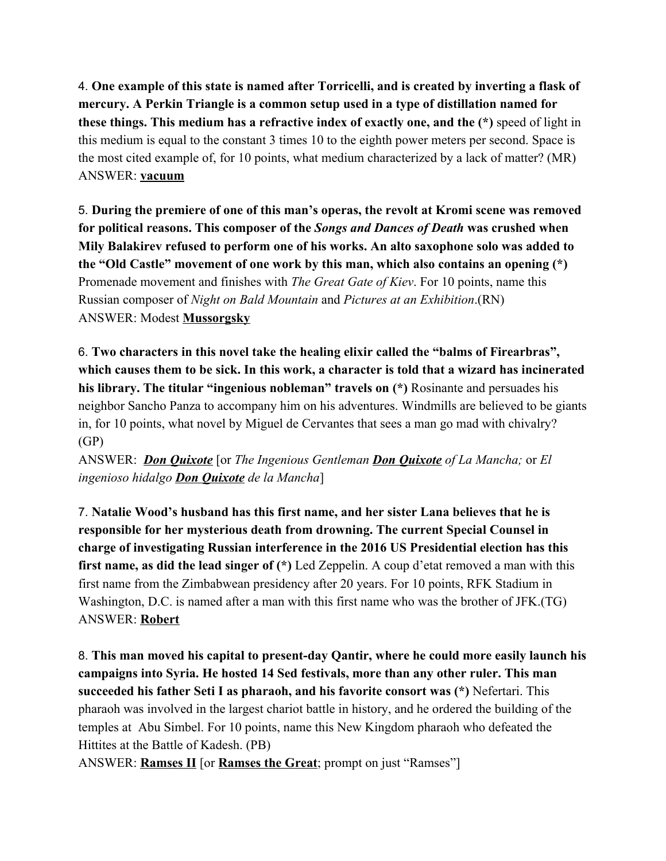4. **One example of this state is named after Torricelli, and is created by inverting a flask of mercury. A Perkin Triangle is a common setup used in a type of distillation named for these things. This medium has a refractive index of exactly one, and the (\*)** speed of light in this medium is equal to the constant 3 times 10 to the eighth power meters per second. Space is the most cited example of, for 10 points, what medium characterized by a lack of matter? (MR) ANSWER: **vacuum**

5. **During the premiere of one of this man's operas, the revolt at Kromi scene was removed for political reasons. This composer of the** *Songs and Dances of Death* **was crushed when Mily Balakirev refused to perform one of his works. An alto saxophone solo was added to the "Old Castle" movement of one work by this man, which also contains an opening (\*)** Promenade movement and finishes with *The Great Gate of Kiev*. For 10 points, name this Russian composer of *Night on Bald Mountain* and *Pictures at an Exhibition*.(RN) ANSWER: Modest **Mussorgsky**

6. **Two characters in this novel take the healing elixir called the "balms of Firearbras", which causes them to be sick. In this work, a character is told that a wizard has incinerated his library. The titular "ingenious nobleman" travels on (\*)** Rosinante and persuades his neighbor Sancho Panza to accompany him on his adventures. Windmills are believed to be giants in, for 10 points, what novel by Miguel de Cervantes that sees a man go mad with chivalry? (GP)

ANSWER: *Don Quixote* [or *The Ingenious Gentleman Don Quixote of La Mancha;* or *El ingenioso hidalgo Don Quixote de la Mancha*]

7. **Natalie Wood's husband has this first name, and her sister Lana believes that he is responsible for her mysterious death from drowning. The current Special Counsel in charge of investigating Russian interference in the 2016 US Presidential election has this first name, as did the lead singer of (\*)** Led Zeppelin. A coup d'etat removed a man with this first name from the Zimbabwean presidency after 20 years. For 10 points, RFK Stadium in Washington, D.C. is named after a man with this first name who was the brother of JFK.(TG) ANSWER: **Robert**

8. **This man moved his capital to present-day Qantir, where he could more easily launch his campaigns into Syria. He hosted 14 Sed festivals, more than any other ruler. This man succeeded his father Seti I as pharaoh, and his favorite consort was (\*)** Nefertari. This pharaoh was involved in the largest chariot battle in history, and he ordered the building of the temples at Abu Simbel. For 10 points, name this New Kingdom pharaoh who defeated the Hittites at the Battle of Kadesh. (PB)

ANSWER: **Ramses II** [or **Ramses the Great**; prompt on just "Ramses"]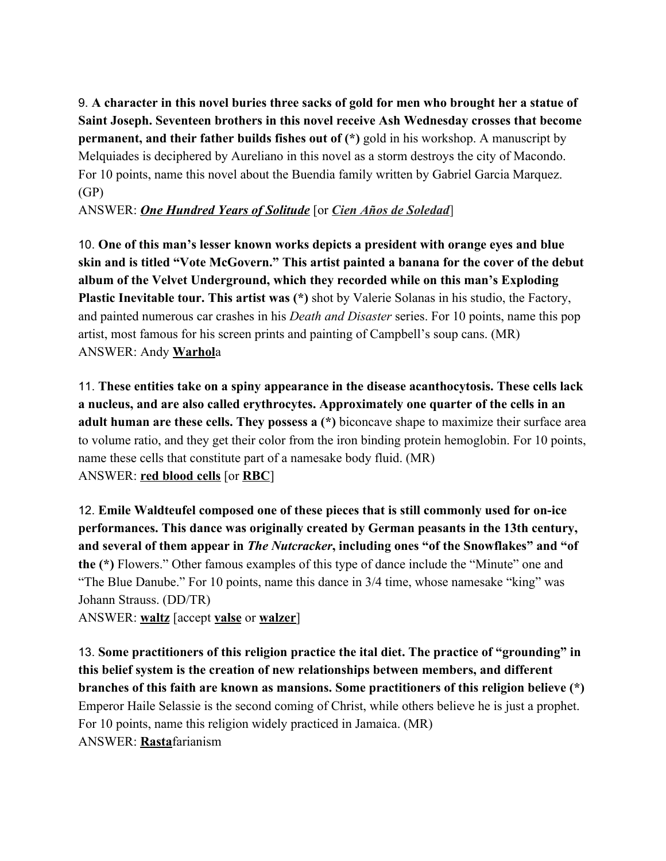9. **A character in this novel buries three sacks of gold for men who brought her a statue of Saint Joseph. Seventeen brothers in this novel receive Ash Wednesday crosses that become permanent, and their father builds fishes out of (\*)** gold in his workshop. A manuscript by Melquiades is deciphered by Aureliano in this novel as a storm destroys the city of Macondo. For 10 points, name this novel about the Buendia family written by Gabriel Garcia Marquez. (GP)

ANSWER: *One Hundred Years of Solitude* [or *Cien Años de Soledad*]

10. **One of this man's lesser known works depicts a president with orange eyes and blue skin and is titled "Vote McGovern." This artist painted a banana for the cover of the debut album of the Velvet Underground, which they recorded while on this man's Exploding Plastic Inevitable tour. This artist was (\*)** shot by Valerie Solanas in his studio, the Factory, and painted numerous car crashes in his *Death and Disaster* series. For 10 points, name this pop artist, most famous for his screen prints and painting of Campbell's soup cans. (MR) ANSWER: Andy **Warhol**a

11. **These entities take on a spiny appearance in the disease acanthocytosis. These cells lack a nucleus, and are also called erythrocytes. Approximately one quarter of the cells in an adult human are these cells. They possess a (\*)** biconcave shape to maximize their surface area to volume ratio, and they get their color from the iron binding protein hemoglobin. For 10 points, name these cells that constitute part of a namesake body fluid. (MR) ANSWER: **red blood cells** [or **RBC**]

12. **Emile Waldteufel composed one of these pieces that is still commonly used for on-ice performances. This dance was originally created by German peasants in the 13th century, and several of them appear in** *The Nutcracker***, including ones "of the Snowflakes" and "of the (\*)** Flowers." Other famous examples of this type of dance include the "Minute" one and "The Blue Danube." For 10 points, name this dance in 3/4 time, whose namesake "king" was Johann Strauss. (DD/TR)

ANSWER: **waltz** [accept **valse** or **walzer**]

13. **Some practitioners of this religion practice the ital diet. The practice of "grounding" in this belief system is the creation of new relationships between members, and different branches of this faith are known as mansions. Some practitioners of this religion believe (\*)** Emperor Haile Selassie is the second coming of Christ, while others believe he is just a prophet. For 10 points, name this religion widely practiced in Jamaica. (MR) ANSWER: **Rasta**farianism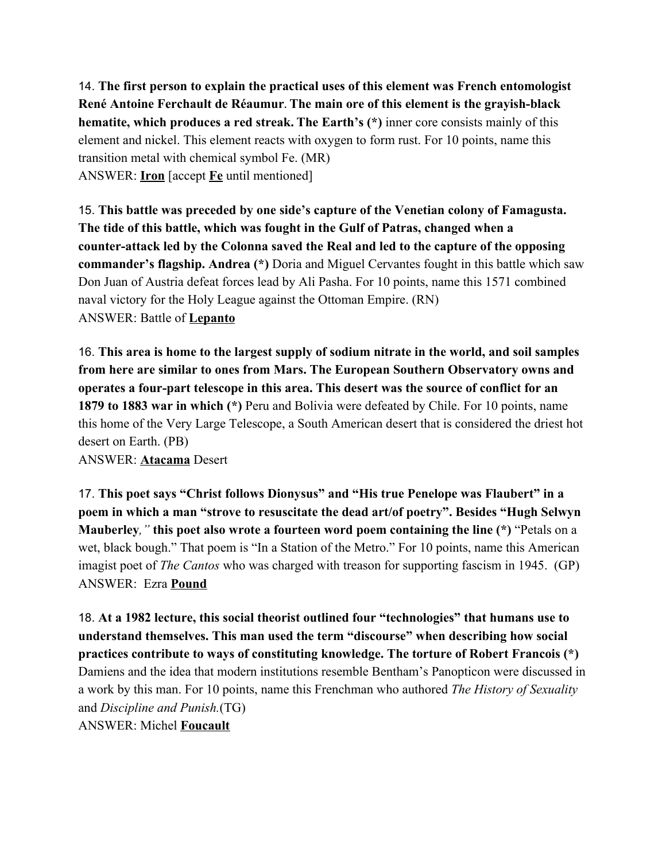14. **The first person to explain the practical uses of this element was French entomologist René Antoine Ferchault de Réaumur. The main ore of this element is the grayish-black hematite, which produces a red streak. The Earth's (\*)** inner core consists mainly of this element and nickel. This element reacts with oxygen to form rust. For 10 points, name this transition metal with chemical symbol Fe. (MR) ANSWER: **Iron** [accept **Fe** until mentioned]

15. **This battle was preceded by one side's capture of the Venetian colony of Famagusta. The tide of this battle, which was fought in the Gulf of Patras, changed when a counter-attack led by the Colonna saved the Real and led to the capture of the opposing commander's flagship. Andrea (\*)** Doria and Miguel Cervantes fought in this battle which saw Don Juan of Austria defeat forces lead by Ali Pasha. For 10 points, name this 1571 combined naval victory for the Holy League against the Ottoman Empire. (RN) ANSWER: Battle of **Lepanto**

16. **This area is home to the largest supply of sodium nitrate in the world, and soil samples from here are similar to ones from Mars. The European Southern Observatory owns and operates a four-part telescope in this area. This desert was the source of conflict for an 1879 to 1883 war in which (\*)** Peru and Bolivia were defeated by Chile. For 10 points, name this home of the Very Large Telescope, a South American desert that is considered the driest hot desert on Earth. (PB)

ANSWER: **Atacama** Desert

17. **This poet says "Christ follows Dionysus" and "His true Penelope was Flaubert" in a poem in which a man "strove to resuscitate the dead art/of poetry". Besides "Hugh Selwyn Mauberley***,"* **this poet also wrote a fourteen word poem containing the line (\*)** "Petals on a wet, black bough." That poem is "In a Station of the Metro." For 10 points, name this American imagist poet of *The Cantos* who was charged with treason for supporting fascism in 1945. (GP) ANSWER: Ezra **Pound**

18. **At a 1982 lecture, this social theorist outlined four "technologies" that humans use to understand themselves. This man used the term "discourse" when describing how social practices contribute to ways of constituting knowledge. The torture of Robert Francois (\*)** Damiens and the idea that modern institutions resemble Bentham's Panopticon were discussed in a work by this man. For 10 points, name this Frenchman who authored *The History of Sexuality* and *Discipline and Punish.*(TG) ANSWER: Michel **Foucault**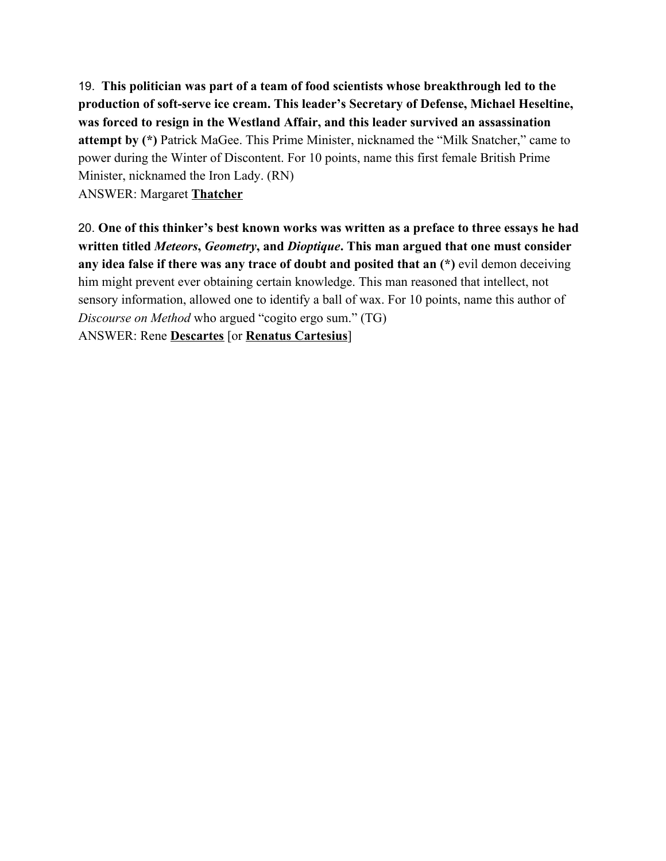19. **This politician was part of a team of food scientists whose breakthrough led to the production of soft-serve ice cream. This leader's Secretary of Defense, Michael Heseltine, was forced to resign in the Westland Affair, and this leader survived an assassination attempt by (\*)** Patrick MaGee. This Prime Minister, nicknamed the "Milk Snatcher," came to power during the Winter of Discontent. For 10 points, name this first female British Prime Minister, nicknamed the Iron Lady. (RN) ANSWER: Margaret **Thatcher**

20. **One of this thinker's best known works was written as a preface to three essays he had written titled** *Meteors***,** *Geometry***, and** *Dioptique***. This man argued that one must consider any idea false if there was any trace of doubt and posited that an (\*)** evil demon deceiving him might prevent ever obtaining certain knowledge. This man reasoned that intellect, not sensory information, allowed one to identify a ball of wax. For 10 points, name this author of *Discourse on Method* who argued "cogito ergo sum." (TG) ANSWER: Rene **Descartes** [or **Renatus Cartesius**]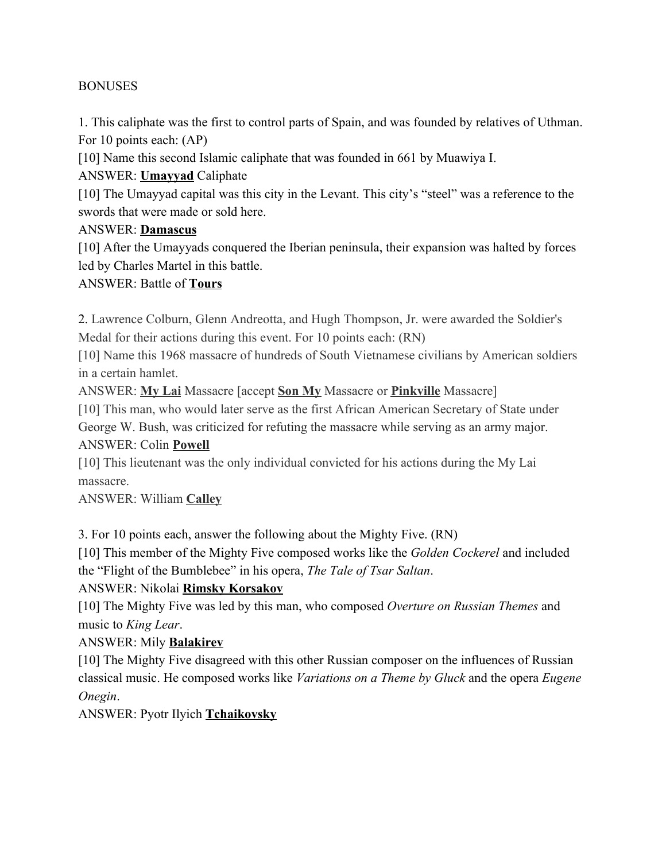#### BONUSES

1. This caliphate was the first to control parts of Spain, and was founded by relatives of Uthman. For 10 points each: (AP)

[10] Name this second Islamic caliphate that was founded in 661 by Muawiya I.

ANSWER: **Umayyad** Caliphate

[10] The Umayyad capital was this city in the Levant. This city's "steel" was a reference to the swords that were made or sold here.

#### ANSWER: **Damascus**

[10] After the Umayyads conquered the Iberian peninsula, their expansion was halted by forces led by Charles Martel in this battle.

#### ANSWER: Battle of **Tours**

2. Lawrence Colburn, Glenn Andreotta, and Hugh Thompson, Jr. were awarded the Soldier's Medal for their actions during this event. For 10 points each: (RN)

[10] Name this 1968 massacre of hundreds of South Vietnamese civilians by American soldiers in a certain hamlet.

ANSWER: **My Lai** Massacre [accept **Son My** Massacre or **Pinkville** Massacre]

[10] This man, who would later serve as the first African American Secretary of State under

George W. Bush, was criticized for refuting the massacre while serving as an army major. ANSWER: Colin **Powell**

[10] This lieutenant was the only individual convicted for his actions during the My Lai massacre.

ANSWER: William **Calley**

3. For 10 points each, answer the following about the Mighty Five. (RN)

[10] This member of the Mighty Five composed works like the *Golden Cockerel* and included the "Flight of the Bumblebee" in his opera, *The Tale of Tsar Saltan*.

ANSWER: Nikolai **Rimsky Korsakov**

[10] The Mighty Five was led by this man, who composed *Overture on Russian Themes* and music to *King Lear*.

### ANSWER: Mily **Balakirev**

[10] The Mighty Five disagreed with this other Russian composer on the influences of Russian classical music. He composed works like *Variations on a Theme by Gluck* and the opera *Eugene Onegin*.

ANSWER: Pyotr Ilyich **Tchaikovsky**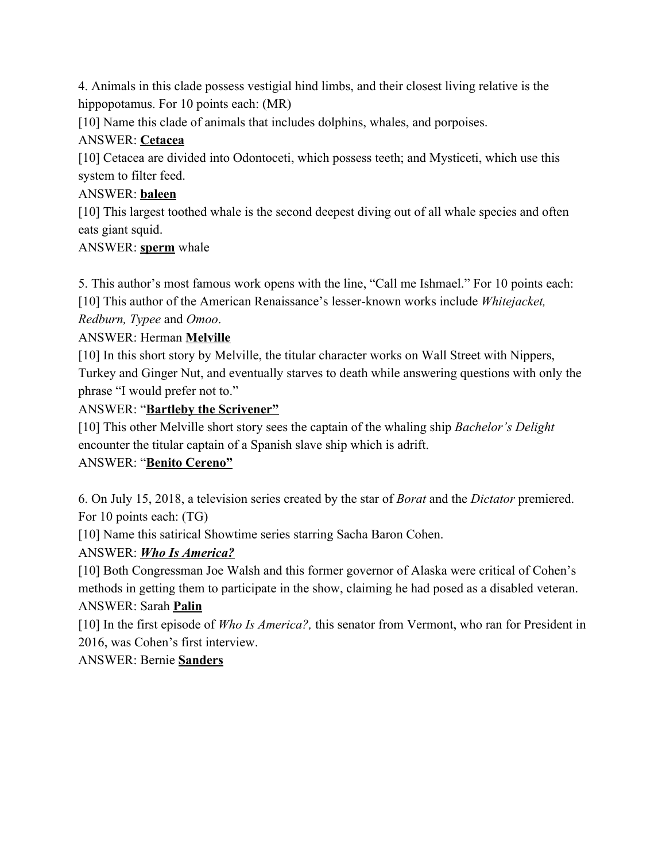4. Animals in this clade possess vestigial hind limbs, and their closest living relative is the hippopotamus. For 10 points each: (MR)

[10] Name this clade of animals that includes dolphins, whales, and porpoises.

### ANSWER: **Cetacea**

[10] Cetacea are divided into Odontoceti, which possess teeth; and Mysticeti, which use this system to filter feed.

### ANSWER: **baleen**

[10] This largest toothed whale is the second deepest diving out of all whale species and often eats giant squid.

### ANSWER: **sperm** whale

5. This author's most famous work opens with the line, "Call me Ishmael." For 10 points each: [10] This author of the American Renaissance's lesser-known works include *Whitejacket,*

### *Redburn, Typee* and *Omoo*.

# ANSWER: Herman **Melville**

[10] In this short story by Melville, the titular character works on Wall Street with Nippers, Turkey and Ginger Nut, and eventually starves to death while answering questions with only the phrase "I would prefer not to."

### ANSWER: "**Bartleby the Scrivener"**

[10] This other Melville short story sees the captain of the whaling ship *Bachelor's Delight* encounter the titular captain of a Spanish slave ship which is adrift.

### ANSWER: "**Benito Cereno"**

6. On July 15, 2018, a television series created by the star of *Borat* and the *Dictator* premiered. For 10 points each: (TG)

[10] Name this satirical Showtime series starring Sacha Baron Cohen.

# ANSWER: *Who Is America?*

[10] Both Congressman Joe Walsh and this former governor of Alaska were critical of Cohen's methods in getting them to participate in the show, claiming he had posed as a disabled veteran. ANSWER: Sarah **Palin**

[10] In the first episode of *Who Is America?,* this senator from Vermont, who ran for President in 2016, was Cohen's first interview.

### ANSWER: Bernie **Sanders**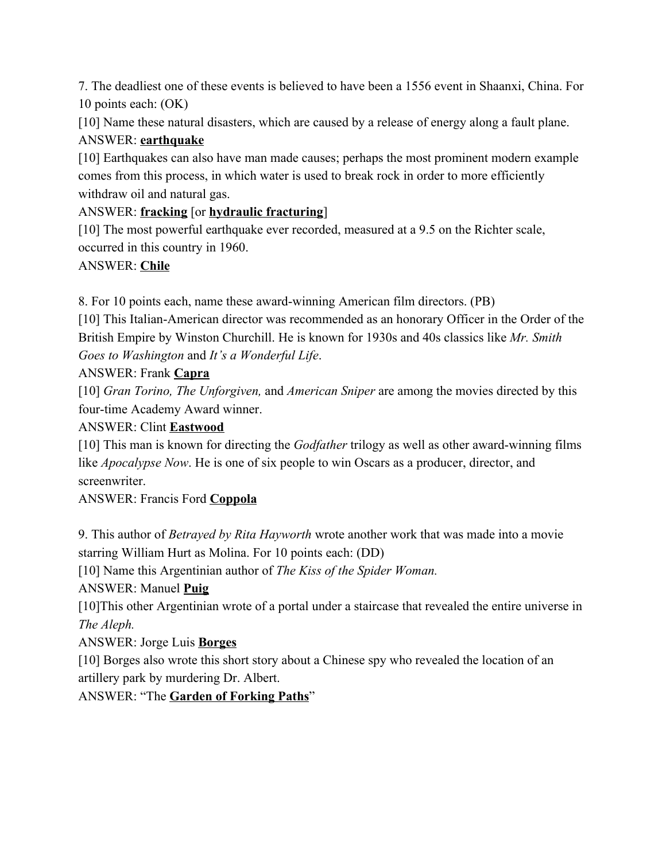7. The deadliest one of these events is believed to have been a 1556 event in Shaanxi, China. For 10 points each: (OK)

[10] Name these natural disasters, which are caused by a release of energy along a fault plane. ANSWER: **earthquake**

[10] Earthquakes can also have man made causes; perhaps the most prominent modern example comes from this process, in which water is used to break rock in order to more efficiently withdraw oil and natural gas.

### ANSWER: **fracking** [or **hydraulic fracturing**]

[10] The most powerful earthquake ever recorded, measured at a 9.5 on the Richter scale, occurred in this country in 1960.

### ANSWER: **Chile**

8. For 10 points each, name these award-winning American film directors. (PB)

[10] This Italian-American director was recommended as an honorary Officer in the Order of the British Empire by Winston Churchill. He is known for 1930s and 40s classics like *Mr. Smith Goes to Washington* and *It's a Wonderful Life*.

### ANSWER: Frank **Capra**

[10] *Gran Torino, The Unforgiven,* and *American Sniper* are among the movies directed by this four-time Academy Award winner.

### ANSWER: Clint **Eastwood**

[10] This man is known for directing the *Godfather* trilogy as well as other award-winning films like *Apocalypse Now*. He is one of six people to win Oscars as a producer, director, and screenwriter.

ANSWER: Francis Ford **Coppola**

9. This author of *Betrayed by Rita Hayworth* wrote another work that was made into a movie starring William Hurt as Molina. For 10 points each: (DD)

[10] Name this Argentinian author of *The Kiss of the Spider Woman.*

# ANSWER: Manuel **Puig**

[10]This other Argentinian wrote of a portal under a staircase that revealed the entire universe in *The Aleph.*

# ANSWER: Jorge Luis **Borges**

[10] Borges also wrote this short story about a Chinese spy who revealed the location of an artillery park by murdering Dr. Albert.

ANSWER: "The **Garden of Forking Paths**"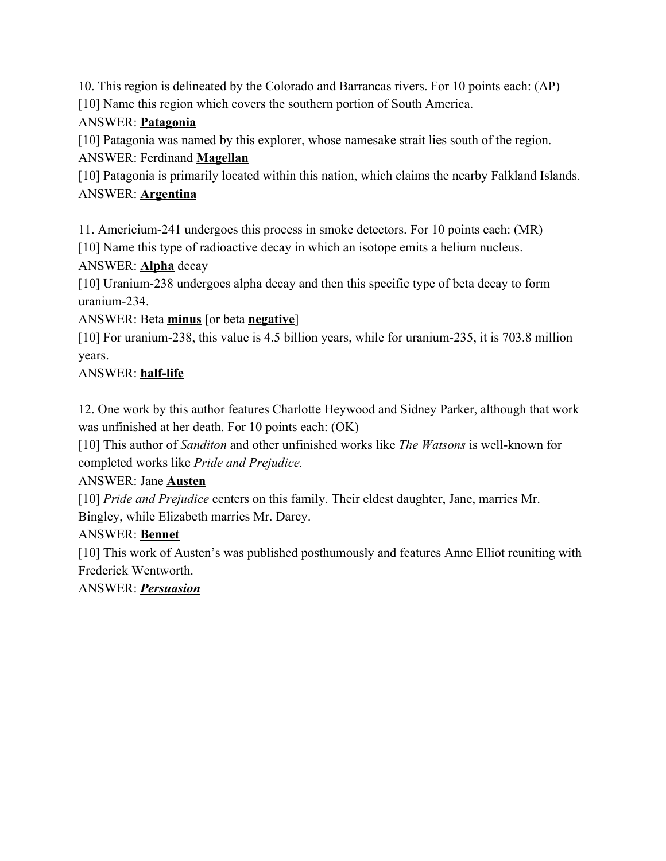10. This region is delineated by the Colorado and Barrancas rivers. For 10 points each: (AP) [10] Name this region which covers the southern portion of South America.

### ANSWER: **Patagonia**

[10] Patagonia was named by this explorer, whose namesake strait lies south of the region. ANSWER: Ferdinand **Magellan**

[10] Patagonia is primarily located within this nation, which claims the nearby Falkland Islands. ANSWER: **Argentina**

11. Americium-241 undergoes this process in smoke detectors. For 10 points each: (MR)

[10] Name this type of radioactive decay in which an isotope emits a helium nucleus.

ANSWER: **Alpha** decay

[10] Uranium-238 undergoes alpha decay and then this specific type of beta decay to form uranium-234.

ANSWER: Beta **minus** [or beta **negative**]

[10] For uranium-238, this value is 4.5 billion years, while for uranium-235, it is 703.8 million years.

# ANSWER: **half-life**

12. One work by this author features Charlotte Heywood and Sidney Parker, although that work was unfinished at her death. For 10 points each: (OK)

[10] This author of *Sanditon* and other unfinished works like *The Watsons* is well-known for completed works like *Pride and Prejudice.*

### ANSWER: Jane **Austen**

[10] *Pride and Prejudice* centers on this family. Their eldest daughter, Jane, marries Mr. Bingley, while Elizabeth marries Mr. Darcy.

# ANSWER: **Bennet**

[10] This work of Austen's was published posthumously and features Anne Elliot reuniting with Frederick Wentworth.

ANSWER: *Persuasion*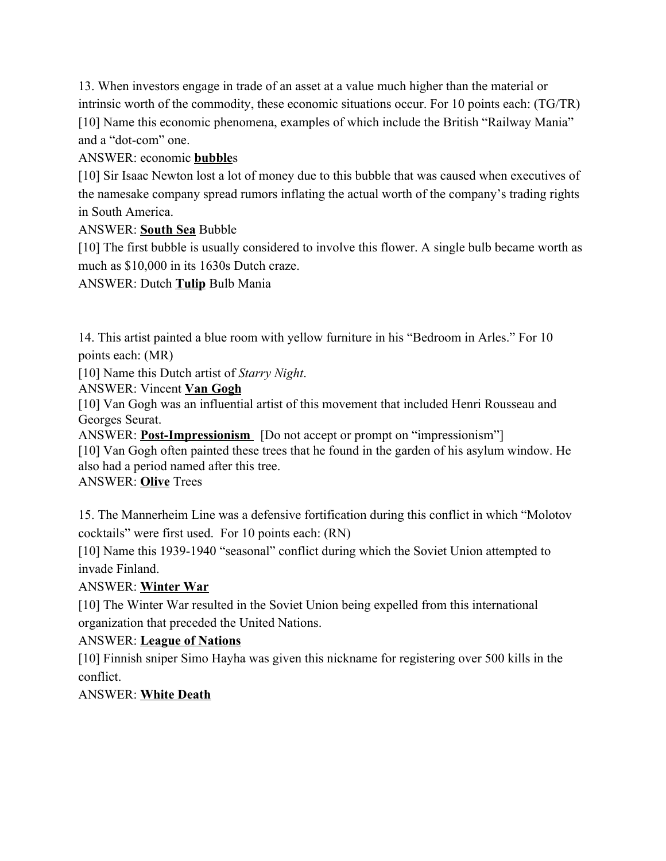13. When investors engage in trade of an asset at a value much higher than the material or intrinsic worth of the commodity, these economic situations occur. For 10 points each: (TG/TR) [10] Name this economic phenomena, examples of which include the British "Railway Mania" and a "dot-com" one.

#### ANSWER: economic **bubble**s

[10] Sir Isaac Newton lost a lot of money due to this bubble that was caused when executives of the namesake company spread rumors inflating the actual worth of the company's trading rights in South America.

#### ANSWER: **South Sea** Bubble

[10] The first bubble is usually considered to involve this flower. A single bulb became worth as much as \$10,000 in its 1630s Dutch craze.

#### ANSWER: Dutch **Tulip** Bulb Mania

14. This artist painted a blue room with yellow furniture in his "Bedroom in Arles." For 10 points each: (MR)

[10] Name this Dutch artist of *Starry Night*.

ANSWER: Vincent **Van Gogh**

[10] Van Gogh was an influential artist of this movement that included Henri Rousseau and Georges Seurat.

ANSWER: **Post-Impressionism** [Do not accept or prompt on "impressionism"] [10] Van Gogh often painted these trees that he found in the garden of his asylum window. He also had a period named after this tree.

ANSWER: **Olive** Trees

15. The Mannerheim Line was a defensive fortification during this conflict in which "Molotov cocktails" were first used. For 10 points each: (RN)

[10] Name this 1939-1940 "seasonal" conflict during which the Soviet Union attempted to invade Finland.

### ANSWER: **Winter War**

[10] The Winter War resulted in the Soviet Union being expelled from this international organization that preceded the United Nations.

### ANSWER: **League of Nations**

[10] Finnish sniper Simo Hayha was given this nickname for registering over 500 kills in the conflict.

### ANSWER: **White Death**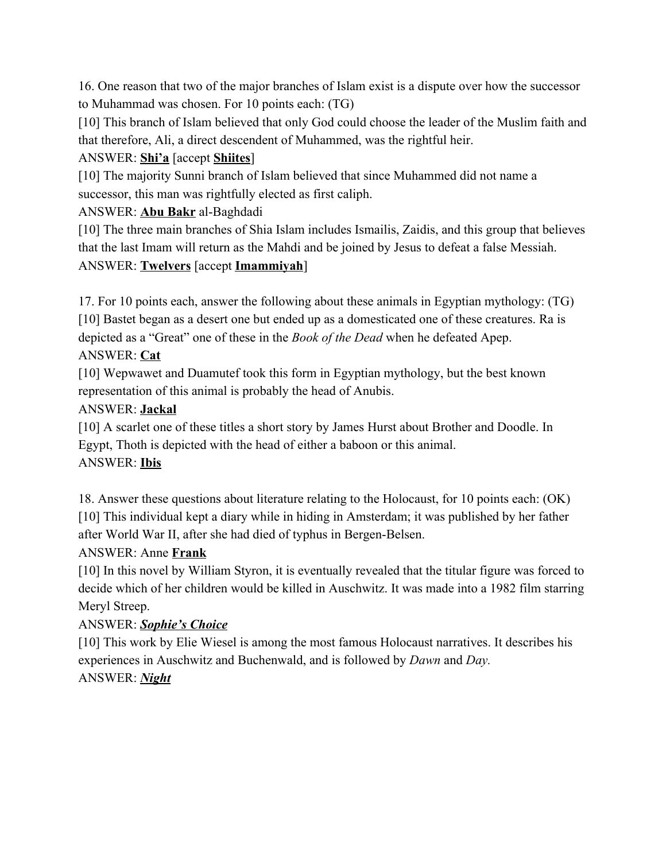16. One reason that two of the major branches of Islam exist is a dispute over how the successor to Muhammad was chosen. For 10 points each: (TG)

[10] This branch of Islam believed that only God could choose the leader of the Muslim faith and that therefore, Ali, a direct descendent of Muhammed, was the rightful heir.

ANSWER: **Shi'a** [accept **Shiites**]

[10] The majority Sunni branch of Islam believed that since Muhammed did not name a successor, this man was rightfully elected as first caliph.

ANSWER: **Abu Bakr** al-Baghdadi

[10] The three main branches of Shia Islam includes Ismailis, Zaidis, and this group that believes that the last Imam will return as the Mahdi and be joined by Jesus to defeat a false Messiah. ANSWER: **Twelvers** [accept **Imammiyah**]

17. For 10 points each, answer the following about these animals in Egyptian mythology: (TG) [10] Bastet began as a desert one but ended up as a domesticated one of these creatures. Ra is depicted as a "Great" one of these in the *Book of the Dead* when he defeated Apep. ANSWER: **Cat**

[10] Wepwawet and Duamutef took this form in Egyptian mythology, but the best known representation of this animal is probably the head of Anubis.

# ANSWER: **Jackal**

[10] A scarlet one of these titles a short story by James Hurst about Brother and Doodle. In Egypt, Thoth is depicted with the head of either a baboon or this animal. ANSWER: **Ibis**

18. Answer these questions about literature relating to the Holocaust, for 10 points each: (OK) [10] This individual kept a diary while in hiding in Amsterdam; it was published by her father after World War II, after she had died of typhus in Bergen-Belsen.

# ANSWER: Anne **Frank**

[10] In this novel by William Styron, it is eventually revealed that the titular figure was forced to decide which of her children would be killed in Auschwitz. It was made into a 1982 film starring Meryl Streep.

# ANSWER: *Sophie's Choice*

[10] This work by Elie Wiesel is among the most famous Holocaust narratives. It describes his experiences in Auschwitz and Buchenwald, and is followed by *Dawn* and *Day.* ANSWER: *Night*